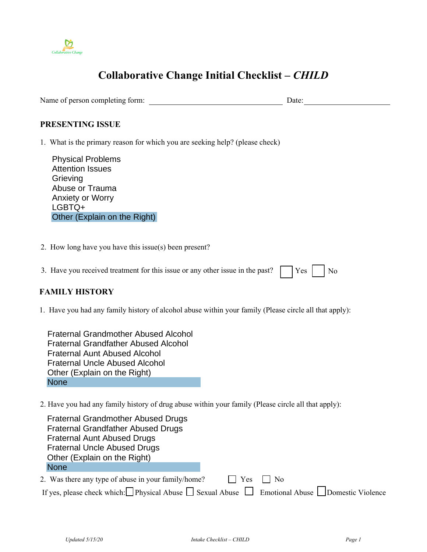

## **Collaborative Change Initial Checklist** *– CHILD*

Name of person completing form: Date:

## **PRESENTING ISSUE**

1. What is the primary reason for which you are seeking help? (please check)

Physical Problems Attention Issues **Grieving** Abuse or Trauma Anxiety or Worry LGBTQ+ Other (Explain on the Right)

2. How long have you have this issue(s) been present?

| 3. Have you received treatment for this issue or any other issue in the past? $\Box$ Yes $\Box$ No |  |  |  |
|----------------------------------------------------------------------------------------------------|--|--|--|
|----------------------------------------------------------------------------------------------------|--|--|--|

## **FAMILY HISTORY**

1. Have you had any family history of alcohol abuse within your family (Please circle all that apply):

Fraternal Grandmother Abused Alcohol Fraternal Grandfather Abused Alcohol Fraternal Aunt Abused Alcohol Fraternal Uncle Abused Alcohol Other (Explain on the Right) **None** 

2. Have you had any family history of drug abuse within your family (Please circle all that apply):

| <b>Fraternal Grandmother Abused Drugs</b>                                                                      |
|----------------------------------------------------------------------------------------------------------------|
| <b>Fraternal Grandfather Abused Drugs</b>                                                                      |
| <b>Fraternal Aunt Abused Drugs</b>                                                                             |
| <b>Fraternal Uncle Abused Drugs</b>                                                                            |
| Other (Explain on the Right)                                                                                   |
| <b>None</b>                                                                                                    |
| 2. Was there any type of abuse in your family/home?<br>Yes<br>$\perp$ No                                       |
| If yes, please check which: Physical Abuse $\Box$ Sexual Abuse $\Box$ Emotional Abuse $\Box$ Domestic Violence |